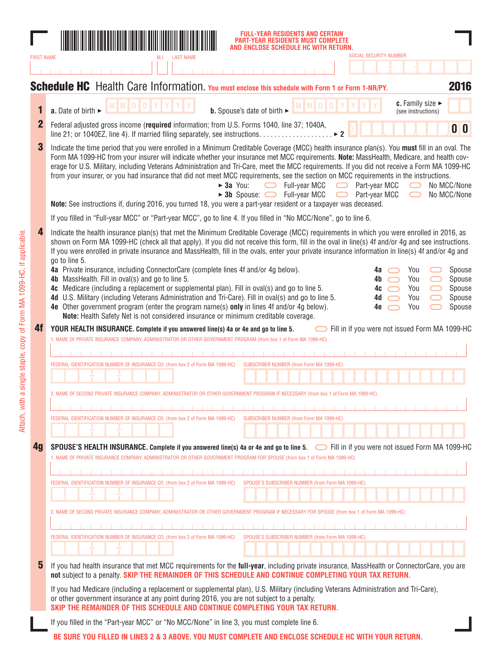|                   | L-YEAR RESIDENTS AND CERTAIN.<br>AR RESIDENTS MUST COMPLETE<br><b>ENCLOSE SCHEDULE HC WITH</b><br>SOCIAL SECURITY NUMBER                                                                                                                                                                                                                                                                                                                                                                                                                                                                                                                                                                                                                                              |                                      |
|-------------------|-----------------------------------------------------------------------------------------------------------------------------------------------------------------------------------------------------------------------------------------------------------------------------------------------------------------------------------------------------------------------------------------------------------------------------------------------------------------------------------------------------------------------------------------------------------------------------------------------------------------------------------------------------------------------------------------------------------------------------------------------------------------------|--------------------------------------|
| <b>FIRST NAME</b> |                                                                                                                                                                                                                                                                                                                                                                                                                                                                                                                                                                                                                                                                                                                                                                       |                                      |
|                   | <b>Schedule HC</b> Health Care Information. You must enclose this schedule with Form 1 or Form 1-NR/PY.                                                                                                                                                                                                                                                                                                                                                                                                                                                                                                                                                                                                                                                               | 2016                                 |
| 1                 | c. Family size $\blacktriangleright$<br>a. Date of birth ►<br><b>b.</b> Spouse's date of birth $\blacktriangleright$<br>(see instructions)                                                                                                                                                                                                                                                                                                                                                                                                                                                                                                                                                                                                                            |                                      |
| $\mathbf{2}$      | Federal adjusted gross income (required information; from U.S. Forms 1040, line 37; 1040A,<br>0 <sup>0</sup>                                                                                                                                                                                                                                                                                                                                                                                                                                                                                                                                                                                                                                                          |                                      |
| 3                 | Indicate the time period that you were enrolled in a Minimum Creditable Coverage (MCC) health insurance plan(s). You must fill in an oval. The<br>Form MA 1099-HC from your insurer will indicate whether your insurance met MCC requirements. Note: MassHealth, Medicare, and health cov-<br>erage for U.S. Military, including Veterans Administration and Tri-Care, meet the MCC requirements. If you did not receive a Form MA 1099-HC<br>from your insurer, or you had insurance that did not meet MCC requirements, see the section on MCC requirements in the instructions.<br>$\blacktriangleright$ 3a You:<br>Full-year MCC<br>Part-year MCC<br>No MCC/None<br>$\Box$<br>▶ 3b Spouse:  ightarrow Full-year MCC<br>Part-year MCC<br>No MCC/None<br>$\bigcirc$ |                                      |
|                   | Note: See instructions if, during 2016, you turned 18, you were a part-year resident or a taxpayer was deceased.                                                                                                                                                                                                                                                                                                                                                                                                                                                                                                                                                                                                                                                      |                                      |
|                   | If you filled in "Full-year MCC" or "Part-year MCC", go to line 4. If you filled in "No MCC/None", go to line 6.                                                                                                                                                                                                                                                                                                                                                                                                                                                                                                                                                                                                                                                      |                                      |
| 4                 | Indicate the health insurance plan(s) that met the Minimum Creditable Coverage (MCC) requirements in which you were enrolled in 2016, as<br>shown on Form MA 1099-HC (check all that apply). If you did not receive this form, fill in the oval in line(s) 4f and/or 4g and see instructions.<br>If you were enrolled in private insurance and MassHealth, fill in the ovals, enter your private insurance information in line(s) 4f and/or 4g and<br>go to line 5.<br>4a Private insurance, including ConnectorCare (complete lines 4f and/or 4g below).<br>You<br>4a                                                                                                                                                                                                | Spouse                               |
|                   | 4b MassHealth. Fill in oval(s) and go to line 5.<br>You<br>4b.<br>4c Medicare (including a replacement or supplemental plan). Fill in oval(s) and go to line 5.<br>You<br>4c<br>4d U.S. Military (including Veterans Administration and Tri-Care). Fill in oval(s) and go to line 5.<br>You<br>4d<br>4e Other government program (enter the program name(s) only in lines 4f and/or 4g below).<br>You<br>4e<br>Note: Health Safety Net is not considered insurance or minimum creditable coverage.                                                                                                                                                                                                                                                                    | Spouse<br>Spouse<br>Spouse<br>Spouse |
| 4f                | Fill in if you were not issued Form MA 1099-HC<br>YOUR HEALTH INSURANCE. Complete if you answered line(s) 4a or 4e and go to line 5.                                                                                                                                                                                                                                                                                                                                                                                                                                                                                                                                                                                                                                  |                                      |
|                   | 1. NAME OF PRIVATE INSURANCE COMPANY, ADMINISTRATOR OR OTHER GOVERNMENT PROGRAM (from box 1 of Form MA 1099-HC)                                                                                                                                                                                                                                                                                                                                                                                                                                                                                                                                                                                                                                                       |                                      |
|                   | SUBSCRIBER NUMBER (from Form MA 1099-HC)                                                                                                                                                                                                                                                                                                                                                                                                                                                                                                                                                                                                                                                                                                                              |                                      |
|                   | FEDERAL IDENTIFICATION NUMBER OF INSURANCE CO. (from box 2 of Form MA 1099-HC)                                                                                                                                                                                                                                                                                                                                                                                                                                                                                                                                                                                                                                                                                        |                                      |
|                   | 2. NAME OF SECOND PRIVATE INSURANCE COMPANY, ADMINISTRATOR OR OTHER GOVERNMENT PROGRAM IF NECESSARY (from box 1 of Form MA 1099-HC)                                                                                                                                                                                                                                                                                                                                                                                                                                                                                                                                                                                                                                   |                                      |
|                   |                                                                                                                                                                                                                                                                                                                                                                                                                                                                                                                                                                                                                                                                                                                                                                       |                                      |
|                   | FEDERAL IDENTIFICATION NUMBER OF INSURANCE CO. (from box 2 of Form MA 1099-HC)<br>SUBSCRIBER NUMBER (from Form MA 1099-HC)                                                                                                                                                                                                                                                                                                                                                                                                                                                                                                                                                                                                                                            |                                      |
|                   |                                                                                                                                                                                                                                                                                                                                                                                                                                                                                                                                                                                                                                                                                                                                                                       |                                      |
| 4 <sub>g</sub>    | SPOUSE'S HEALTH INSURANCE. Complete if you answered line(s) 4a or 4e and go to line 5. If ill in if you were not issued Form MA 1099-HC<br>1. NAME OF PRIVATE INSURANCE COMPANY, ADMINISTRATOR OR OTHER GOVERNMENT PROGRAM FOR SPOUSE (from box 1 of Form MA 1099-HC)                                                                                                                                                                                                                                                                                                                                                                                                                                                                                                 |                                      |
|                   |                                                                                                                                                                                                                                                                                                                                                                                                                                                                                                                                                                                                                                                                                                                                                                       |                                      |
|                   | FEDERAL IDENTIFICATION NUMBER OF INSURANCE CO. (from box 2 of Form MA 1099-HC)<br>SPOUSE'S SUBSCRIBER NUMBER (from Form MA 1099-HC)                                                                                                                                                                                                                                                                                                                                                                                                                                                                                                                                                                                                                                   |                                      |
|                   | 2. NAME OF SECOND PRIVATE INSURANCE COMPANY, ADMINISTRATOR OR OTHER GOVERNMENT PROGRAM IF NECESSARY FOR SPOUSE (from box 1 of Form MA 1099-HC)                                                                                                                                                                                                                                                                                                                                                                                                                                                                                                                                                                                                                        |                                      |
|                   |                                                                                                                                                                                                                                                                                                                                                                                                                                                                                                                                                                                                                                                                                                                                                                       |                                      |
|                   | FEDERAL IDENTIFICATION NUMBER OF INSURANCE CO. (from box 2 of Form MA 1099-HC)<br>SPOUSE'S SUBSCRIBER NUMBER (from Form MA 1099-HC)                                                                                                                                                                                                                                                                                                                                                                                                                                                                                                                                                                                                                                   |                                      |
| 5                 | If you had health insurance that met MCC requirements for the full-year, including private insurance, MassHealth or ConnectorCare, you are<br>not subject to a penalty. SKIP THE REMAINDER OF THIS SCHEDULE AND CONTINUE COMPLETING YOUR TAX RETURN.                                                                                                                                                                                                                                                                                                                                                                                                                                                                                                                  |                                      |
|                   | If you had Medicare (including a replacement or supplemental plan), U.S. Military (including Veterans Administration and Tri-Care),<br>or other government insurance at any point during 2016, you are not subject to a penalty.<br>SKIP THE REMAINDER OF THIS SCHEDULE AND CONTINUE COMPLETING YOUR TAX RETURN.                                                                                                                                                                                                                                                                                                                                                                                                                                                      |                                      |
|                   | If you filled in the "Part-year MCC" or "No MCC/None" in line 3, you must complete line 6.                                                                                                                                                                                                                                                                                                                                                                                                                                                                                                                                                                                                                                                                            |                                      |
|                   | BE SURE YOU FILLED IN LINES 2 & 3 ABOVE. YOU MUST COMPLETE AND ENCLOSE SCHEDULE HC WITH YOUR RETURN.                                                                                                                                                                                                                                                                                                                                                                                                                                                                                                                                                                                                                                                                  |                                      |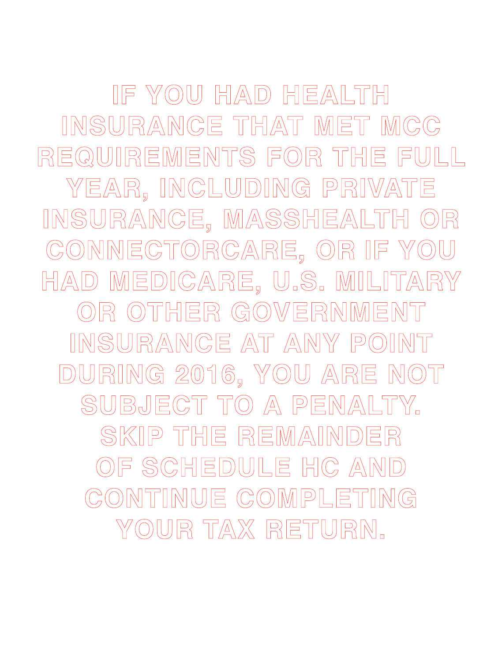**IF YOU HAD HEALTH INSURANCE THAT MET MCC REQUIREMENTS FOR THE FULL YEAR, INCLUDING PRIVATE INSURANCE, MASSHEALTH OR CONNECTORCARE, OR IF YOU HAD MEDICARE, U.S. MILITARY OR OTHER GOVERNMENT INSURANCE AT ANY POINT DURING 2016, YOU ARE NOT SUBJECT TO A PENALTY. SKIP THE REMAINDER OF SCHEDULE HC AND CONTINUE COMPLETING YOUR TAX RETURN.**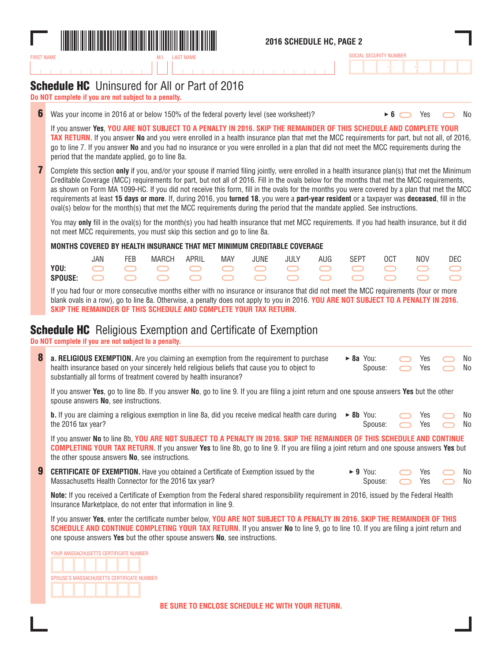

### **2016 SCHEDULE HC, PAGE 2**

| SOCIAL SECURITY NUMBER |  |  |  |  |  |  |  |  |  |  |  |
|------------------------|--|--|--|--|--|--|--|--|--|--|--|
|                        |  |  |  |  |  |  |  |  |  |  |  |

## **Schedule HC** Uninsured for All or Part of 2016

**Do NOT complete if you are not subject to a penalty.**

**6** Was your income in 2016 at or below 150% of the federal poverty level (see worksheet)? **6 6** Yes No

If you answer **Yes**, **YOU ARE NOT SUBJECT TO A PENALTY IN 2016. SKIP THE REMAINDER OF THIS SCHEDULE AND COMPLETE YOUR TAX RETURN.** If you answer **No** and you were enrolled in a health insurance plan that met the MCC requirements for part, but not all, of 2016, go to line 7. If you answer **No** and you had no insurance or you were enrolled in a plan that did not meet the MCC requirements during the period that the mandate applied, go to line 8a.

**7** Complete this section **only** if you, and/or your spouse if married filing jointly, were enrolled in a health insurance plan(s) that met the Minimum Creditable Coverage (MCC) requirements for part, but not all of 2016. Fill in the ovals below for the months that met the MCC requirements, as shown on Form MA 1099-HC. If you did not receive this form, fill in the ovals for the months you were covered by a plan that met the MCC requirements at least **15 days or more**. If, during 2016, you **turned 18**, you were a **part-year resident** or a taxpayer was **deceased**, fill in the oval(s) below for the month(s) that met the MCC requirements during the period that the mandate applied. See instructions.

You may **only** fill in the oval(s) for the month(s) you had health insurance that met MCC requirements. If you had health insurance, but it did not meet MCC requirements, you must skip this section and go to line 8a.

**MONTHS COVERED BY HEALTH INSURANCE THAT MET MINIMUM CREDITABLE COVERAGE**

|  | FEB MARCH APRIL MAY JUNE JULY AUG SEPT OCT NOV DEC |  |  |  |  |  |
|--|----------------------------------------------------|--|--|--|--|--|
|  |                                                    |  |  |  |  |  |
|  |                                                    |  |  |  |  |  |

If you had four or more consecutive months either with no insurance or insurance that did not meet the MCC requirements (four or more blank ovals in a row), go to line 8a. Otherwise, a penalty does not apply to you in 2016. **YOU ARE NOT SUBJECT TO A PENALTY IN 2016. SKIP THE REMAINDER OF THIS SCHEDULE AND COMPLETE YOUR TAX RETURN.**

### **Schedule HC** Religious Exemption and Certificate of Exemption

**Do NOT complete if you are not subject to a penalty.**

| 8 | <b>a. RELIGIOUS EXEMPTION.</b> Are you claiming an exemption from the requirement to purchase<br>health insurance based on your sincerely held religious beliefs that cause you to object to<br>substantially all forms of treatment covered by health insurance?                                                                                    |                         | $\triangleright$ 8a You:<br>Spouse: |  | Yes<br>Yes |  | No<br>No  |  |  |  |
|---|------------------------------------------------------------------------------------------------------------------------------------------------------------------------------------------------------------------------------------------------------------------------------------------------------------------------------------------------------|-------------------------|-------------------------------------|--|------------|--|-----------|--|--|--|
|   | If you answer Yes, go to line 8b. If you answer No, go to line 9. If you are filing a joint return and one spouse answers Yes but the other<br>spouse answers No, see instructions.                                                                                                                                                                  |                         |                                     |  |            |  |           |  |  |  |
|   | <b>b.</b> If you are claiming a religious exemption in line 8a, did you receive medical health care during<br>the 2016 tax year?                                                                                                                                                                                                                     |                         | $\triangleright$ 8b You:<br>Spouse: |  | Yes<br>Yes |  | No.<br>No |  |  |  |
|   | If you answer No to line 8b, YOU ARE NOT SUBJECT TO A PENALTY IN 2016. SKIP THE REMAINDER OF THIS SCHEDULE AND CONTINUE<br><b>COMPLETING YOUR TAX RETURN.</b> If you answer Yes to line 8b, go to line 9. If you are filing a joint return and one spouse answers Yes but<br>the other spouse answers No, see instructions.                          |                         |                                     |  |            |  |           |  |  |  |
| 9 | <b>CERTIFICATE OF EXEMPTION.</b> Have you obtained a Certificate of Exemption issued by the<br>Massachusetts Health Connector for the 2016 tax year?                                                                                                                                                                                                 | $\blacktriangleright$ 9 | You:<br>Spouse:                     |  | Yes<br>Yes |  | No.<br>No |  |  |  |
|   | Note: If you received a Certificate of Exemption from the Federal shared responsibility requirement in 2016, issued by the Federal Health<br>Insurance Marketplace, do not enter that information in line 9.                                                                                                                                         |                         |                                     |  |            |  |           |  |  |  |
|   | If you answer Yes, enter the certificate number below, YOU ARE NOT SUBJECT TO A PENALTY IN 2016. SKIP THE REMAINDER OF THIS<br><b>SCHEDULE AND CONTINUE COMPLETING YOUR TAX RETURN.</b> If you answer No to line 9, go to line 10. If you are filing a joint return and<br>one spouse answers Yes but the other spouse answers No, see instructions. |                         |                                     |  |            |  |           |  |  |  |
|   | VOLID MACCAPHITCETTC PEDTIFICATE MITMBED                                                                                                                                                                                                                                                                                                             |                         |                                     |  |            |  |           |  |  |  |

YOUR MASSACHUSETTS CERTIFICATE NUMBER SPOUSE'S MASSACHUSETTS CERTIFICATE NUMBER

**BE SURE TO ENCLOSE SCHEDULE HC WITH YOUR RETURN.**